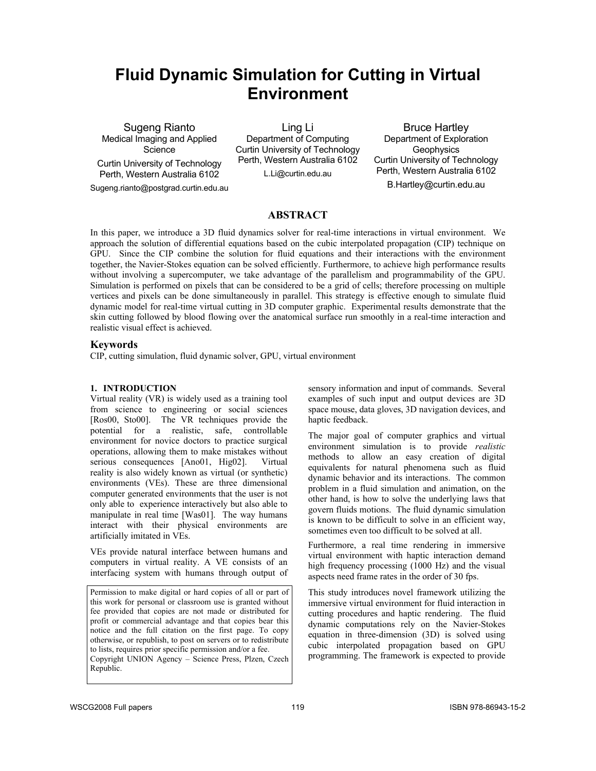# **Fluid Dynamic Simulation for Cutting in Virtual Environment**

Sugeng Rianto Medical Imaging and Applied **Science** 

Curtin University of Technology Perth, Western Australia 6102

Sugeng.rianto@postgrad.curtin.edu.au

Ling Li Department of Computing Curtin University of Technology Perth, Western Australia 6102 L.Li@curtin.edu.au

Bruce Hartley Department of Exploration **Geophysics** Curtin University of Technology Perth, Western Australia 6102

B.Hartley@curtin.edu.au

# **ABSTRACT**

In this paper, we introduce a 3D fluid dynamics solver for real-time interactions in virtual environment. We approach the solution of differential equations based on the cubic interpolated propagation (CIP) technique on GPU. Since the CIP combine the solution for fluid equations and their interactions with the environment together, the Navier-Stokes equation can be solved efficiently. Furthermore, to achieve high performance results without involving a supercomputer, we take advantage of the parallelism and programmability of the GPU. Simulation is performed on pixels that can be considered to be a grid of cells; therefore processing on multiple vertices and pixels can be done simultaneously in parallel. This strategy is effective enough to simulate fluid dynamic model for real-time virtual cutting in 3D computer graphic. Experimental results demonstrate that the skin cutting followed by blood flowing over the anatomical surface run smoothly in a real-time interaction and realistic visual effect is achieved.

#### **Keywords**

CIP, cutting simulation, fluid dynamic solver, GPU, virtual environment

#### **1. INTRODUCTION**

Virtual reality (VR) is widely used as a training tool from science to engineering or social sciences [Ros00, Sto00]. The VR techniques provide the potential for a realistic, safe, controllable environment for novice doctors to practice surgical operations, allowing them to make mistakes without serious consequences [Ano01, Hig02]. Virtual reality is also widely known as virtual (or synthetic) environments (VEs). These are three dimensional computer generated environments that the user is not only able to experience interactively but also able to manipulate in real time [Was01]. The way humans interact with their physical environments are artificially imitated in VEs.

VEs provide natural interface between humans and computers in virtual reality. A VE consists of an interfacing system with humans through output of

Permission to make digital or hard copies of all or part of this work for personal or classroom use is granted without fee provided that copies are not made or distributed for profit or commercial advantage and that copies bear this notice and the full citation on the first page. To copy otherwise, or republish, to post on servers or to redistribute to lists, requires prior specific permission and/or a fee. Copyright UNION Agency – Science Press, Plzen, Czech Republic.

sensory information and input of commands. Several examples of such input and output devices are 3D space mouse, data gloves, 3D navigation devices, and haptic feedback.

The major goal of computer graphics and virtual environment simulation is to provide *realistic* methods to allow an easy creation of digital equivalents for natural phenomena such as fluid dynamic behavior and its interactions. The common problem in a fluid simulation and animation, on the other hand, is how to solve the underlying laws that govern fluids motions. The fluid dynamic simulation is known to be difficult to solve in an efficient way, sometimes even too difficult to be solved at all.

Furthermore, a real time rendering in immersive virtual environment with haptic interaction demand high frequency processing (1000 Hz) and the visual aspects need frame rates in the order of 30 fps.

This study introduces novel framework utilizing the immersive virtual environment for fluid interaction in cutting procedures and haptic rendering. The fluid dynamic computations rely on the Navier-Stokes equation in three-dimension (3D) is solved using cubic interpolated propagation based on GPU programming. The framework is expected to provide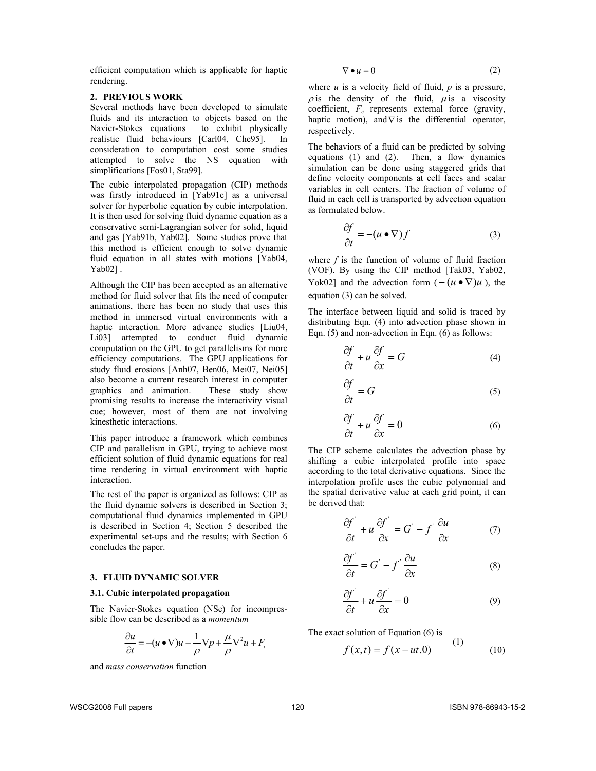efficient computation which is applicable for haptic rendering.

## **2. PREVIOUS WORK**

Several methods have been developed to simulate fluids and its interaction to objects based on the Navier-Stokes equations to exhibit physically realistic fluid behaviours [Carl04, Che95]. In consideration to computation cost some studies attempted to solve the NS equation with simplifications [Fos01, Sta99].

The cubic interpolated propagation (CIP) methods was firstly introduced in [Yab91c] as a universal solver for hyperbolic equation by cubic interpolation. It is then used for solving fluid dynamic equation as a conservative semi-Lagrangian solver for solid, liquid and gas [Yab91b, Yab02]. Some studies prove that this method is efficient enough to solve dynamic fluid equation in all states with motions [Yab04, Yab02].

Although the CIP has been accepted as an alternative method for fluid solver that fits the need of computer animations, there has been no study that uses this method in immersed virtual environments with a haptic interaction. More advance studies [Liu04, Li03] attempted to conduct fluid dynamic computation on the GPU to get parallelisms for more efficiency computations. The GPU applications for study fluid erosions [Anh07, Ben06, Mei07, Nei05] also become a current research interest in computer graphics and animation. These study show promising results to increase the interactivity visual cue; however, most of them are not involving kinesthetic interactions.

This paper introduce a framework which combines CIP and parallelism in GPU, trying to achieve most efficient solution of fluid dynamic equations for real time rendering in virtual environment with haptic interaction.

The rest of the paper is organized as follows: CIP as the fluid dynamic solvers is described in Section 3; computational fluid dynamics implemented in GPU is described in Section 4; Section 5 described the experimental set-ups and the results; with Section 6 concludes the paper.

## **3. FLUID DYNAMIC SOLVER**

#### **3.1. Cubic interpolated propagation**

The Navier-Stokes equation (NSe) for incompressible flow can be described as a *momentum* 

$$
\frac{\partial u}{\partial t} = -(u \bullet \nabla)u - \frac{1}{\rho} \nabla p + \frac{\mu}{\rho} \nabla^2 u + F_c
$$

and *mass conservation* function

$$
\nabla \bullet u = 0 \tag{2}
$$

where *u* is a velocity field of fluid, *p* is a pressure,  $\rho$  is the density of the fluid,  $\mu$  is a viscosity coefficient,  $F_c$  represents external force (gravity, haptic motion), and  $\nabla$  is the differential operator, respectively.

The behaviors of a fluid can be predicted by solving equations (1) and (2). Then, a flow dynamics simulation can be done using staggered grids that define velocity components at cell faces and scalar variables in cell centers. The fraction of volume of fluid in each cell is transported by advection equation as formulated below.

$$
\frac{\partial f}{\partial t} = -(u \bullet \nabla) f \tag{3}
$$

where *f* is the function of volume of fluid fraction (VOF). By using the CIP method [Tak03, Yab02, Yok02] and the advection form  $(- (u \bullet \nabla)u)$ , the equation (3) can be solved.

The interface between liquid and solid is traced by distributing Eqn. (4) into advection phase shown in Eqn. (5) and non-advection in Eqn. (6) as follows:

$$
\frac{\partial f}{\partial t} + u \frac{\partial f}{\partial x} = G \tag{4}
$$

$$
\frac{\partial f}{\partial t} = G \tag{5}
$$

$$
\frac{\partial f}{\partial t} + u \frac{\partial f}{\partial x} = 0 \tag{6}
$$

The CIP scheme calculates the advection phase by shifting a cubic interpolated profile into space according to the total derivative equations. Since the interpolation profile uses the cubic polynomial and the spatial derivative value at each grid point, it can be derived that:

$$
\frac{\partial f'}{\partial t} + u \frac{\partial f'}{\partial x} = G' - f \frac{\partial u}{\partial x} \tag{7}
$$

$$
\frac{\partial f'}{\partial t} = G' - f' \frac{\partial u}{\partial x} \tag{8}
$$

$$
\frac{\partial f'}{\partial t} + u \frac{\partial f'}{\partial x} = 0 \tag{9}
$$

The exact solution of Equation (6) is

$$
f(x,t) = f(x - ut, 0)
$$
 (1) (10)

WSCG2008 Full papers 120 ISBN 978-86943-15-2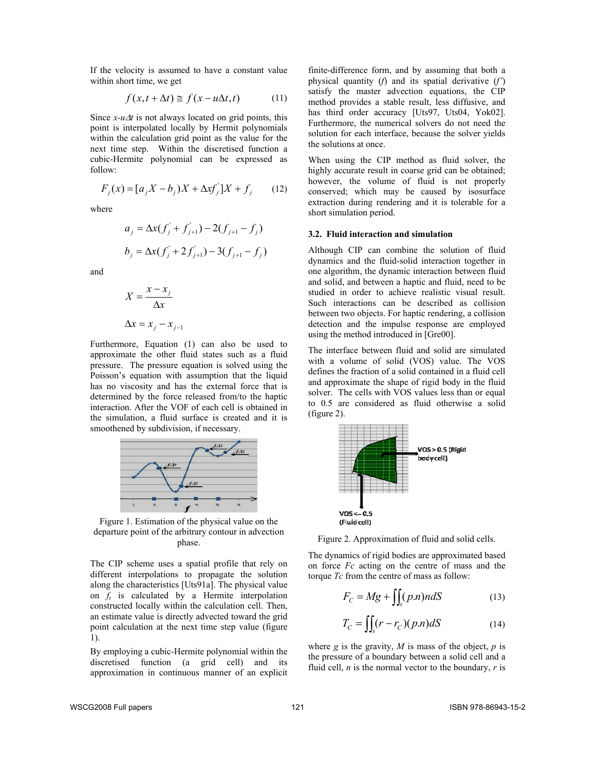If the velocity is assumed to have a constant value within short time, we get

$$
f(x, t + \Delta t) \cong f(x - u\Delta t, t)
$$
 (11)

Since *x-u*∆*t* is not always located on grid points, this point is interpolated locally by Hermit polynomials within the calculation grid point as the value for the next time step. Within the discretised function a cubic-Hermite polynomial can be expressed as follow:

$$
F_j(x) = [a_j X - b_j)X + \Delta x f_j' | X + f_j \qquad (12)
$$

where

$$
a_j = \Delta x (f'_j + f'_{j+1}) - 2(f_{j+1} - f_j)
$$
  

$$
b_j = \Delta x (f'_j + 2f'_{j+1}) - 3(f_{j+1} - f_j)
$$

and

$$
X = \frac{x - x_j}{\Delta x}
$$

$$
\Delta x = x_j - x_{j-1}
$$

Furthermore, Equation (1) can also be used to approximate the other fluid states such as a fluid pressure. The pressure equation is solved using the Poisson's equation with assumption that the liquid has no viscosity and has the external force that is determined by the force released from/to the haptic interaction. After the VOF of each cell is obtained in the simulation, a fluid surface is created and it is smoothened by subdivision, if necessary.



Figure 1. Estimation of the physical value on the departure point of the arbitrary contour in advection phase.

The CIP scheme uses a spatial profile that rely on different interpolations to propagate the solution along the characteristics [Uts91a]. The physical value on  $f_t$  is calculated by a Hermite interpolation constructed locally within the calculation cell. Then, an estimate value is directly advected toward the grid point calculation at the next time step value (figure 1).

By employing a cubic-Hermite polynomial within the discretised function (a grid cell) and its approximation in continuous manner of an explicit

finite-difference form, and by assuming that both a physical quantity (*f*) and its spatial derivative (*f'*) satisfy the master advection equations, the CIP method provides a stable result, less diffusive, and has third order accuracy [Uts97, Uts04, Yok02]. Furthermore, the numerical solvers do not need the solution for each interface, because the solver yields the solutions at once.

When using the CIP method as fluid solver, the highly accurate result in coarse grid can be obtained; however, the volume of fluid is not properly conserved; which may be caused by isosurface extraction during rendering and it is tolerable for a short simulation period.

#### **3.2. Fluid interaction and simulation**

Although CIP can combine the solution of fluid dynamics and the fluid-solid interaction together in one algorithm, the dynamic interaction between fluid and solid, and between a haptic and fluid, need to be studied in order to achieve realistic visual result. Such interactions can be described as collision between two objects. For haptic rendering, a collision detection and the impulse response are employed using the method introduced in [Gre00].

The interface between fluid and solid are simulated with a volume of solid (VOS) value. The VOS defines the fraction of a solid contained in a fluid cell and approximate the shape of rigid body in the fluid solver. The cells with VOS values less than or equal to 0.5 are considered as fluid otherwise a solid (figure 2).



Figure 2. Approximation of fluid and solid cells.

The dynamics of rigid bodies are approximated based on force *Fc* acting on the centre of mass and the torque *Tc* from the centre of mass as follow:

$$
F_C = Mg + \iint_S (p.n) n dS \tag{13}
$$

$$
T_C = \iint_S (r - r_C)(p.n)dS \tag{14}
$$

where  $g$  is the gravity,  $M$  is mass of the object,  $p$  is the pressure of a boundary between a solid cell and a fluid cell, *n* is the normal vector to the boundary, *r* is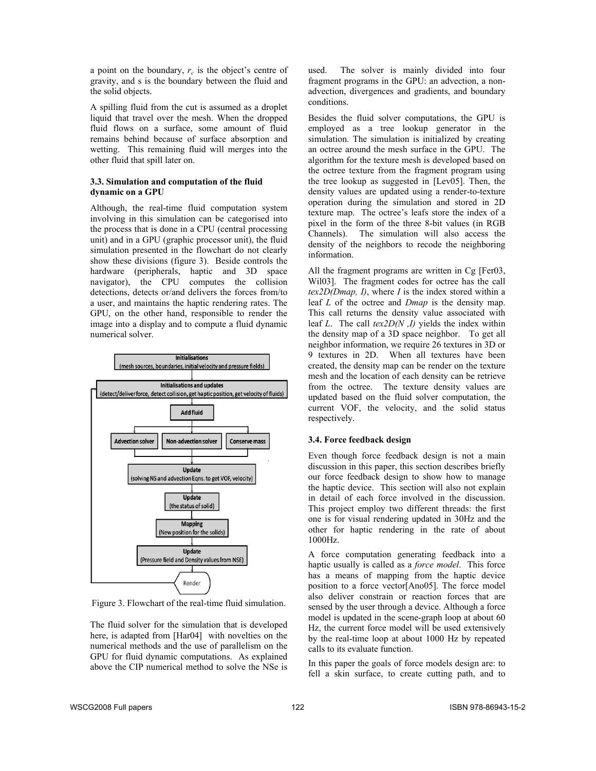a point on the boundary,  $r_c$  is the object's centre of gravity, and s is the boundary between the fluid and the solid objects.

A spilling fluid from the cut is assumed as a droplet liquid that travel over the mesh. When the dropped fluid flows on a surface, some amount of fluid remains behind because of surface absorption and wetting. This remaining fluid will merges into the other fluid that spill later on.

#### **3.3. Simulation and computation of the fluid dynamic on a GPU**

Although, the real-time fluid computation system involving in this simulation can be categorised into the process that is done in a CPU (central processing unit) and in a GPU (graphic processor unit), the fluid simulation presented in the flowchart do not clearly show these divisions (figure 3). Beside controls the hardware (peripherals, haptic and 3D space navigator), the CPU computes the collision detections, detects or/and delivers the forces from/to a user, and maintains the haptic rendering rates. The GPU, on the other hand, responsible to render the image into a display and to compute a fluid dynamic numerical solver.



Figure 3. Flowchart of the real-time fluid simulation.

The fluid solver for the simulation that is developed here, is adapted from [Har04] with novelties on the numerical methods and the use of parallelism on the GPU for fluid dynamic computations. As explained above the CIP numerical method to solve the NSe is used. The solver is mainly divided into four fragment programs in the GPU: an advection, a nonadvection, divergences and gradients, and boundary conditions.

Besides the fluid solver computations, the GPU is employed as a tree lookup generator in the simulation. The simulation is initialized by creating an octree around the mesh surface in the GPU. The algorithm for the texture mesh is developed based on the octree texture from the fragment program using the tree lookup as suggested in [Lev05]. Then, the density values are updated using a render-to-texture operation during the simulation and stored in 2D texture map. The octree's leafs store the index of a pixel in the form of the three 8-bit values (in RGB Channels). The simulation will also access the density of the neighbors to recode the neighboring information.

All the fragment programs are written in Cg [Fer03, Wil03]. The fragment codes for octree has the call *tex2D(Dmap, I)*, where *I* is the index stored within a leaf *L* of the octree and *Dmap* is the density map. This call returns the density value associated with leaf *L*. The call *tex2D(N ,I)* yields the index within the density map of a 3D space neighbor. To get all neighbor information, we require 26 textures in 3D or 9 textures in 2D. When all textures have been created, the density map can be render on the texture mesh and the location of each density can be retrieve from the octree. The texture density values are updated based on the fluid solver computation, the current VOF, the velocity, and the solid status respectively.

## **3.4. Force feedback design**

Even though force feedback design is not a main discussion in this paper, this section describes briefly our force feedback design to show how to manage the haptic device. This section will also not explain in detail of each force involved in the discussion. This project employ two different threads: the first one is for visual rendering updated in 30Hz and the other for haptic rendering in the rate of about 1000Hz.

A force computation generating feedback into a haptic usually is called as a *force model*. This force has a means of mapping from the haptic device position to a force vector[Ano05]. The force model also deliver constrain or reaction forces that are sensed by the user through a device. Although a force model is updated in the scene-graph loop at about 60 Hz, the current force model will be used extensively by the real-time loop at about 1000 Hz by repeated calls to its evaluate function.

In this paper the goals of force models design are: to fell a skin surface, to create cutting path, and to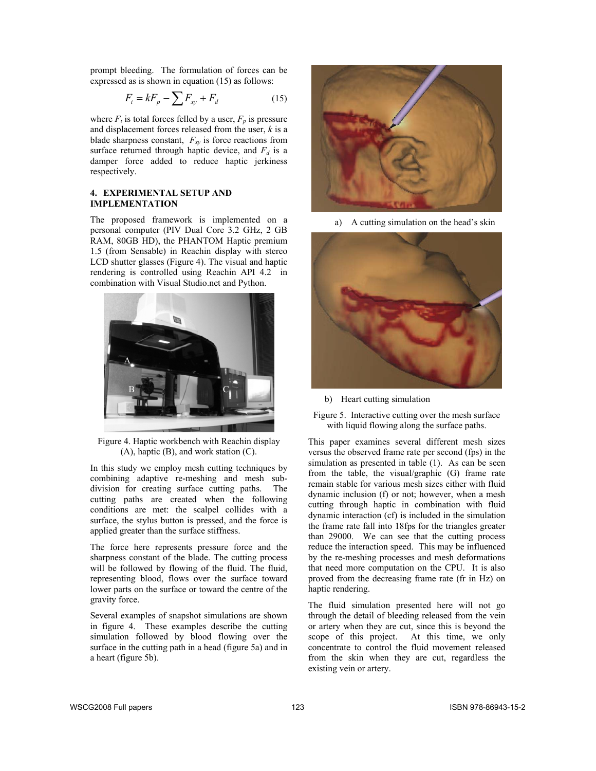prompt bleeding. The formulation of forces can be expressed as is shown in equation (15) as follows:

$$
F_t = kF_p - \sum F_{xy} + F_d \tag{15}
$$

where  $F_t$  is total forces felled by a user,  $F_p$  is pressure and displacement forces released from the user, *k* is a blade sharpness constant,  $F_{xy}$  is force reactions from surface returned through haptic device, and  $F_d$  is a damper force added to reduce haptic jerkiness respectively.

## **4. EXPERIMENTAL SETUP AND IMPLEMENTATION**

The proposed framework is implemented on a personal computer (PIV Dual Core 3.2 GHz, 2 GB RAM, 80GB HD), the PHANTOM Haptic premium 1.5 (from Sensable) in Reachin display with stereo LCD shutter glasses (Figure 4). The visual and haptic rendering is controlled using Reachin API 4.2 in combination with Visual Studio.net and Python.



Figure 4. Haptic workbench with Reachin display (A), haptic (B), and work station (C).

In this study we employ mesh cutting techniques by combining adaptive re-meshing and mesh subdivision for creating surface cutting paths. The cutting paths are created when the following conditions are met: the scalpel collides with a surface, the stylus button is pressed, and the force is applied greater than the surface stiffness.

The force here represents pressure force and the sharpness constant of the blade. The cutting process will be followed by flowing of the fluid. The fluid, representing blood, flows over the surface toward lower parts on the surface or toward the centre of the gravity force.

Several examples of snapshot simulations are shown in figure 4. These examples describe the cutting simulation followed by blood flowing over the surface in the cutting path in a head (figure 5a) and in a heart (figure 5b).



a) A cutting simulation on the head's skin



b) Heart cutting simulation

Figure 5. Interactive cutting over the mesh surface with liquid flowing along the surface paths.

This paper examines several different mesh sizes versus the observed frame rate per second (fps) in the simulation as presented in table (1). As can be seen from the table, the visual/graphic (G) frame rate remain stable for various mesh sizes either with fluid dynamic inclusion (f) or not; however, when a mesh cutting through haptic in combination with fluid dynamic interaction (cf) is included in the simulation the frame rate fall into 18fps for the triangles greater than 29000. We can see that the cutting process reduce the interaction speed. This may be influenced by the re-meshing processes and mesh deformations that need more computation on the CPU. It is also proved from the decreasing frame rate (fr in Hz) on haptic rendering.

The fluid simulation presented here will not go through the detail of bleeding released from the vein or artery when they are cut, since this is beyond the scope of this project. At this time, we only concentrate to control the fluid movement released from the skin when they are cut, regardless the existing vein or artery.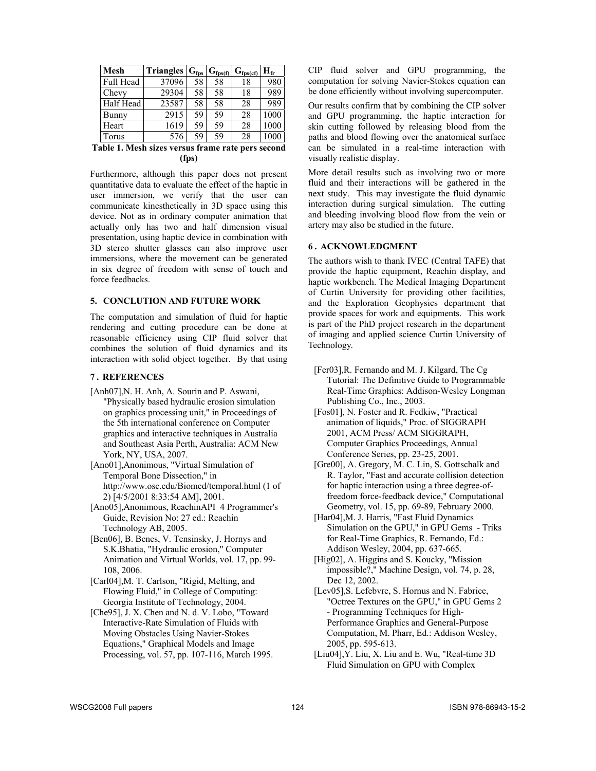| <b>Mesh</b>      | <b>Triangles</b> | G <sub>fps</sub> | $\mathbf{G}_{\text{fps}(f)}$ | $\mathbf{G}_{\text{fps}(\text{cf})}$ | $\mathbf{H}_{\mathbf{fr}}$ |
|------------------|------------------|------------------|------------------------------|--------------------------------------|----------------------------|
| <b>Full Head</b> | 37096            | 58               | 58                           | 18                                   | 980                        |
| Chevy            | 29304            | 58               | 58                           | 18                                   | 989                        |
| Half Head        | 23587            | 58               | 58                           | 28                                   | 989                        |
| <b>Bunny</b>     | 2915             | 59               | 59                           | 28                                   | 1000                       |
| Heart            | 1619             | 59               | 59                           | 28                                   | 1000                       |
| Torus            | 576              | 59               | 59                           | 28                                   | 1000                       |

**Table 1. Mesh sizes versus frame rate pers second (fps)** 

Furthermore, although this paper does not present quantitative data to evaluate the effect of the haptic in user immersion, we verify that the user can communicate kinesthetically in 3D space using this device. Not as in ordinary computer animation that actually only has two and half dimension visual presentation, using haptic device in combination with 3D stereo shutter glasses can also improve user immersions, where the movement can be generated in six degree of freedom with sense of touch and force feedbacks.

# **5. CONCLUTION AND FUTURE WORK**

The computation and simulation of fluid for haptic rendering and cutting procedure can be done at reasonable efficiency using CIP fluid solver that combines the solution of fluid dynamics and its interaction with solid object together. By that using

#### **7 . REFERENCES**

- [Anh07],N. H. Anh, A. Sourin and P. Aswani, "Physically based hydraulic erosion simulation on graphics processing unit," in Proceedings of the 5th international conference on Computer graphics and interactive techniques in Australia and Southeast Asia Perth, Australia: ACM New York, NY, USA, 2007.
- [Ano01],Anonimous, "Virtual Simulation of Temporal Bone Dissection," in http://www.osc.edu/Biomed/temporal.html (1 of 2) [4/5/2001 8:33:54 AM], 2001.
- [Ano05],Anonimous, ReachinAPI 4 Programmer's Guide, Revision No: 27 ed.: Reachin Technology AB, 2005.
- [Ben06], B. Benes, V. Tensinsky, J. Hornys and S.K.Bhatia, "Hydraulic erosion," Computer Animation and Virtual Worlds, vol. 17, pp. 99- 108, 2006.
- [Carl04],M. T. Carlson, "Rigid, Melting, and Flowing Fluid," in College of Computing: Georgia Institute of Technology, 2004.
- [Che95], J. X. Chen and N. d. V. Lobo, "Toward" Interactive-Rate Simulation of Fluids with Moving Obstacles Using Navier-Stokes Equations," Graphical Models and Image Processing, vol. 57, pp. 107-116, March 1995.

CIP fluid solver and GPU programming, the computation for solving Navier-Stokes equation can be done efficiently without involving supercomputer.

Our results confirm that by combining the CIP solver and GPU programming, the haptic interaction for skin cutting followed by releasing blood from the paths and blood flowing over the anatomical surface can be simulated in a real-time interaction with visually realistic display.

More detail results such as involving two or more fluid and their interactions will be gathered in the next study. This may investigate the fluid dynamic interaction during surgical simulation. The cutting and bleeding involving blood flow from the vein or artery may also be studied in the future.

## **6 . ACKNOWLEDGMENT**

The authors wish to thank IVEC (Central TAFE) that provide the haptic equipment, Reachin display, and haptic workbench. The Medical Imaging Department of Curtin University for providing other facilities, and the Exploration Geophysics department that provide spaces for work and equipments. This work is part of the PhD project research in the department of imaging and applied science Curtin University of Technology.

- [Fer03],R. Fernando and M. J. Kilgard, The Cg Tutorial: The Definitive Guide to Programmable Real-Time Graphics: Addison-Wesley Longman Publishing Co., Inc., 2003.
- [Fos01], N. Foster and R. Fedkiw, "Practical animation of liquids," Proc. of SIGGRAPH 2001, ACM Press/ ACM SIGGRAPH, Computer Graphics Proceedings, Annual Conference Series, pp. 23-25, 2001.
- [Gre00], A. Gregory, M. C. Lin, S. Gottschalk and R. Taylor, "Fast and accurate collision detection for haptic interaction using a three degree-offreedom force-feedback device," Computational Geometry, vol. 15, pp. 69-89, February 2000.
- [Har04],M. J. Harris, "Fast Fluid Dynamics Simulation on the GPU," in GPU Gems - Triks for Real-Time Graphics, R. Fernando, Ed.: Addison Wesley, 2004, pp. 637-665.
- [Hig02], A. Higgins and S. Koucky, "Mission impossible?," Machine Design, vol. 74, p. 28, Dec 12, 2002.
- [Lev05],S. Lefebvre, S. Hornus and N. Fabrice, "Octree Textures on the GPU," in GPU Gems 2 - Programming Techniques for High-Performance Graphics and General-Purpose Computation, M. Pharr, Ed.: Addison Wesley, 2005, pp. 595-613.
- [Liu04],Y. Liu, X. Liu and E. Wu, "Real-time 3D Fluid Simulation on GPU with Complex